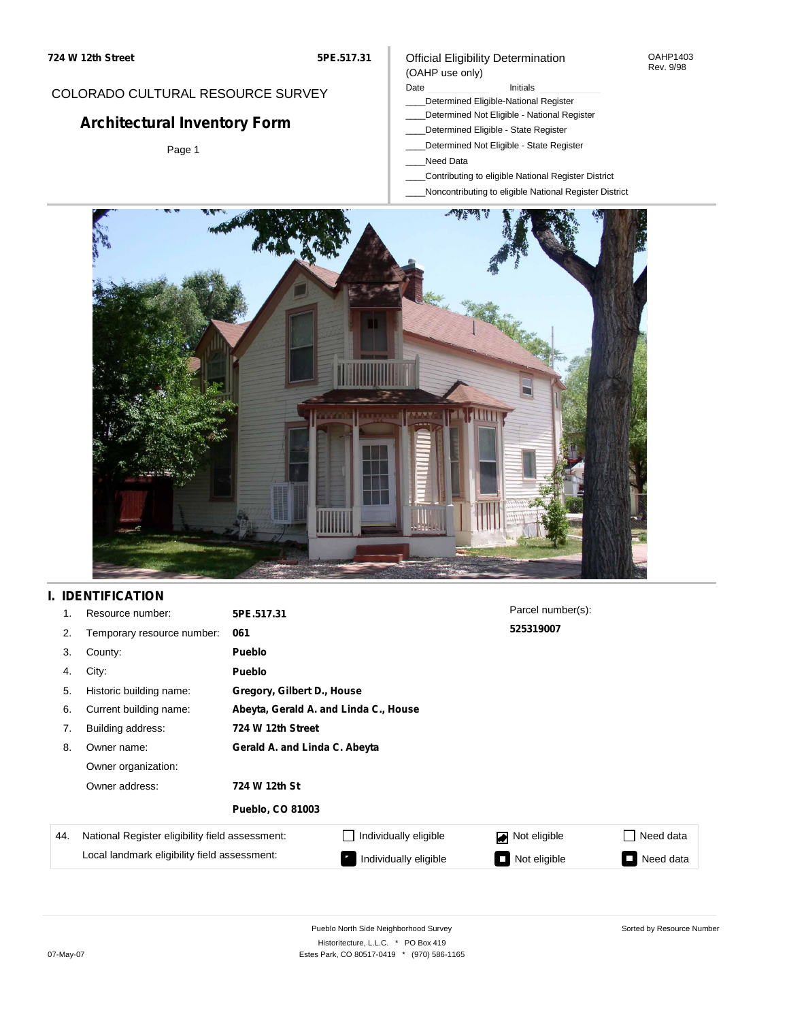#### OAHP1403 Rev. 9/98

## COLORADO CULTURAL RESOURCE SURVEY

# **Architectural Inventory Form**

Page 1

# (OAHP use only)

Official Eligibility Determination

- Date **Initials** Initials
- \_\_\_\_Determined Eligible-National Register \_\_\_\_Determined Not Eligible - National Register
- \_\_\_\_Determined Eligible State Register
- \_\_\_\_Determined Not Eligible State Register
- \_\_\_\_Need Data
- \_\_\_\_Contributing to eligible National Register District
- \_\_\_\_Noncontributing to eligible National Register District



## **I. IDENTIFICATION**

| 1.  | Resource number:                                | 5PE.517.31                    |                                       | Parcel number(s): |                                          |  |  |  |
|-----|-------------------------------------------------|-------------------------------|---------------------------------------|-------------------|------------------------------------------|--|--|--|
| 2.  | Temporary resource number:                      | 061                           |                                       | 525319007         |                                          |  |  |  |
| 3.  | County:                                         | <b>Pueblo</b>                 |                                       |                   |                                          |  |  |  |
| 4.  | City:                                           | <b>Pueblo</b>                 |                                       |                   |                                          |  |  |  |
| 5.  | Historic building name:                         |                               | Gregory, Gilbert D., House            |                   |                                          |  |  |  |
| 6.  | Current building name:                          |                               | Abeyta, Gerald A. and Linda C., House |                   |                                          |  |  |  |
| 7.  | Building address:                               | 724 W 12th Street             |                                       |                   |                                          |  |  |  |
| 8.  | Owner name:                                     | Gerald A. and Linda C. Abeyta |                                       |                   |                                          |  |  |  |
|     | Owner organization:                             |                               |                                       |                   |                                          |  |  |  |
|     | Owner address:                                  | 724 W 12th St                 |                                       |                   |                                          |  |  |  |
|     |                                                 | <b>Pueblo, CO 81003</b>       |                                       |                   |                                          |  |  |  |
| 44. | National Register eligibility field assessment: |                               | Individually eligible                 | Not eligible      | Need data<br>$\mathcal{L}_{\mathcal{A}}$ |  |  |  |
|     | Local landmark eligibility field assessment:    |                               | Individually eligible                 | Not eligible      | Need data<br>$\overline{\phantom{a}}$    |  |  |  |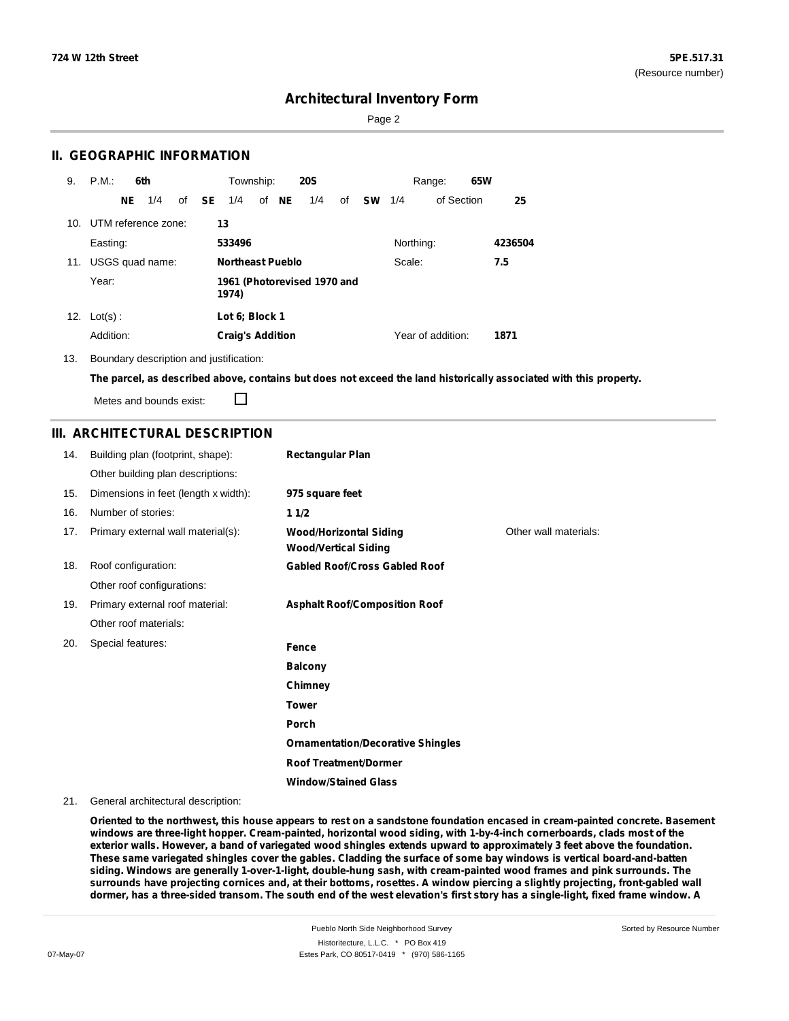Sorted by Resource Number

## **Architectural Inventory Form**

Page 2

### **II. GEOGRAPHIC INFORMATION**

| 9.  | P.M.                    |     | 6th             |       | Township:               |       | <b>20S</b>                  |    |           |           | Range:            | 65W |         |
|-----|-------------------------|-----|-----------------|-------|-------------------------|-------|-----------------------------|----|-----------|-----------|-------------------|-----|---------|
|     |                         | NE. | 1/4             | of SE | 1/4                     | of NE | 1/4                         | of | <b>SW</b> | 1/4       | of Section        |     | 25      |
|     | 10. UTM reference zone: |     |                 |       | 13                      |       |                             |    |           |           |                   |     |         |
|     | Easting:                |     |                 |       | 533496                  |       |                             |    |           | Northing: |                   |     | 4236504 |
| 11. |                         |     | USGS quad name: |       | <b>Northeast Pueblo</b> |       |                             |    |           | Scale:    |                   |     | 7.5     |
|     | Year:                   |     |                 |       | 1974)                   |       | 1961 (Photorevised 1970 and |    |           |           |                   |     |         |
|     | 12. $Lot(s)$ :          |     |                 |       | Lot 6: Block 1          |       |                             |    |           |           |                   |     |         |
|     | Addition:               |     |                 |       | <b>Craig's Addition</b> |       |                             |    |           |           | Year of addition: |     | 1871    |

13. Boundary description and justification:

The parcel, as described above, contains but does not exceed the land historically associated with this property.

Metes and bounds exist:

 $\Box$ 

### **III. ARCHITECTURAL DESCRIPTION**

| 14. | Building plan (footprint, shape):    | <b>Rectangular Plan</b>                                      |                       |
|-----|--------------------------------------|--------------------------------------------------------------|-----------------------|
|     | Other building plan descriptions:    |                                                              |                       |
| 15. | Dimensions in feet (length x width): | 975 square feet                                              |                       |
| 16. | Number of stories:                   | 11/2                                                         |                       |
| 17. | Primary external wall material(s):   | <b>Wood/Horizontal Siding</b><br><b>Wood/Vertical Siding</b> | Other wall materials: |
| 18. | Roof configuration:                  | <b>Gabled Roof/Cross Gabled Roof</b>                         |                       |
|     | Other roof configurations:           |                                                              |                       |
| 19. | Primary external roof material:      | <b>Asphalt Roof/Composition Roof</b>                         |                       |
|     | Other roof materials:                |                                                              |                       |
| 20. | Special features:                    | Fence                                                        |                       |
|     |                                      | <b>Balcony</b>                                               |                       |
|     |                                      | Chimney                                                      |                       |
|     |                                      | <b>Tower</b>                                                 |                       |
|     |                                      | Porch                                                        |                       |
|     |                                      | <b>Ornamentation/Decorative Shingles</b>                     |                       |
|     |                                      | <b>Roof Treatment/Dormer</b>                                 |                       |
|     |                                      | <b>Window/Stained Glass</b>                                  |                       |

### 21. General architectural description:

Oriented to the northwest, this house appears to rest on a sandstone foundation encased in cream-painted concrete. Basement **windows are three-light hopper. Cream-painted, horizontal wood siding, with 1-by-4-inch cornerboards, clads most of the** exterior walls. However, a band of variegated wood shingles extends upward to approximately 3 feet above the foundation. These same variegated shingles cover the gables. Cladding the surface of some bay windows is vertical board-and-batten **siding. Windows are generally 1-over-1-light, double-hung sash, with cream-painted wood frames and pink surrounds. The** surrounds have projecting cornices and, at their bottoms, rosettes. A window piercing a slightly projecting, front-gabled wall dormer, has a three-sided transom. The south end of the west elevation's first story has a single-light, fixed frame window. A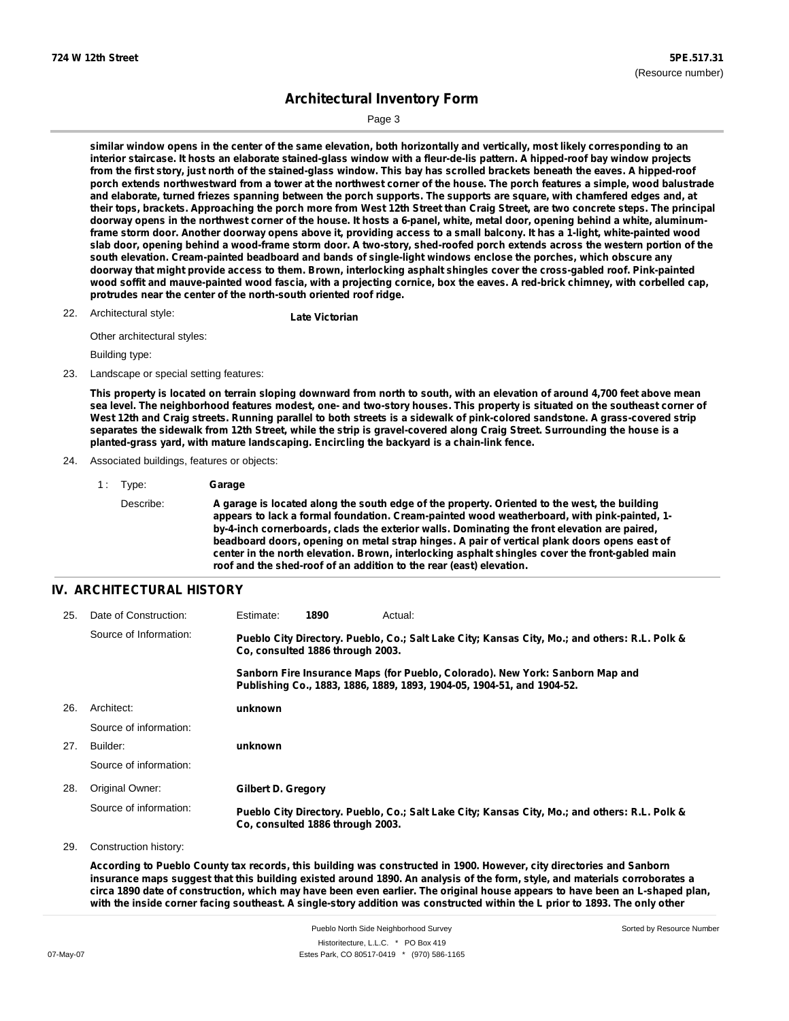Page 3

similar window opens in the center of the same elevation, both horizontally and vertically, most likely corresponding to an interior staircase. It hosts an elaborate stained-glass window with a fleur-de-lis pattern. A hipped-roof bay window projects from the first story, just north of the stained-glass window. This bay has scrolled brackets beneath the eaves. A hipped-roof porch extends northwestward from a tower at the northwest corner of the house. The porch features a simple, wood balustrade and elaborate, turned friezes spanning between the porch supports. The supports are square, with chamfered edges and, at their tops, brackets. Approaching the porch more from West 12th Street than Craig Street, are two concrete steps. The principal doorway opens in the northwest corner of the house. It hosts a 6-panel, white, metal door, opening behind a white, aluminumframe storm door. Another doorway opens above it, providing access to a small balcony. It has a 1-light, white-painted wood slab door, opening behind a wood-frame storm door. A two-story, shed-roofed porch extends across the western portion of the **south elevation. Cream-painted beadboard and bands of single-light windows enclose the porches, which obscure any** doorway that might provide access to them. Brown, interlocking asphalt shingles cover the cross-gabled roof. Pink-painted wood soffit and mauve-painted wood fascia, with a projecting cornice, box the eaves. A red-brick chimney, with corbelled cap, **protrudes near the center of the north-south oriented roof ridge.**

## Architectural style: 22. **Late Victorian**

Other architectural styles:

Building type:

### 23. Landscape or special setting features:

This property is located on terrain sloping downward from north to south, with an elevation of around 4,700 feet above mean sea level. The neighborhood features modest, one- and two-story houses. This property is situated on the southeast corner of West 12th and Craig streets. Running parallel to both streets is a sidewalk of pink-colored sandstone. A grass-covered strip separates the sidewalk from 12th Street, while the strip is gravel-covered along Craig Street. Surrounding the house is a **planted-grass yard, with mature landscaping. Encircling the backyard is a chain-link fence.**

- 24. Associated buildings, features or objects:
	- 1 : Type: **Garage** Describe: **A garage is located along the south edge of the property. Oriented to the west, the building appears to lack a formal foundation. Cream-painted wood weatherboard, with pink-painted, 1 by-4-inch cornerboards, clads the exterior walls. Dominating the front elevation are paired, beadboard doors, opening on metal strap hinges. A pair of vertical plank doors opens east of center in the north elevation. Brown, interlocking asphalt shingles cover the front-gabled main roof and the shed-roof of an addition to the rear (east) elevation.**

### **IV. ARCHITECTURAL HISTORY**

| 25. | Date of Construction:  | Estimate:                                                                                                                         | 1890                             | Actual:                                                                                                                                                 |  |  |
|-----|------------------------|-----------------------------------------------------------------------------------------------------------------------------------|----------------------------------|---------------------------------------------------------------------------------------------------------------------------------------------------------|--|--|
|     | Source of Information: | Pueblo City Directory. Pueblo, Co.; Salt Lake City; Kansas City, Mo.; and others: R.L. Polk &<br>Co. consulted 1886 through 2003. |                                  |                                                                                                                                                         |  |  |
|     |                        |                                                                                                                                   |                                  | Sanborn Fire Insurance Maps (for Pueblo, Colorado). New York: Sanborn Map and<br>Publishing Co., 1883, 1886, 1889, 1893, 1904-05, 1904-51, and 1904-52. |  |  |
| 26. | Architect:             | unknown                                                                                                                           |                                  |                                                                                                                                                         |  |  |
|     | Source of information: |                                                                                                                                   |                                  |                                                                                                                                                         |  |  |
| 27. | Builder:               | unknown                                                                                                                           |                                  |                                                                                                                                                         |  |  |
|     | Source of information: |                                                                                                                                   |                                  |                                                                                                                                                         |  |  |
| 28. | Original Owner:        | Gilbert D. Gregory                                                                                                                |                                  |                                                                                                                                                         |  |  |
|     | Source of information: |                                                                                                                                   | Co. consulted 1886 through 2003. | Pueblo City Directory. Pueblo, Co.; Salt Lake City; Kansas City, Mo.; and others: R.L. Polk &                                                           |  |  |
| 29. | Construction history:  |                                                                                                                                   |                                  |                                                                                                                                                         |  |  |

According to Pueblo County tax records, this building was constructed in 1900. However, city directories and Sanborn insurance maps suggest that this building existed around 1890. An analysis of the form, style, and materials corroborates a circa 1890 date of construction, which may have been even earlier. The original house appears to have been an L-shaped plan, with the inside corner facing southeast. A single-story addition was constructed within the L prior to 1893. The only other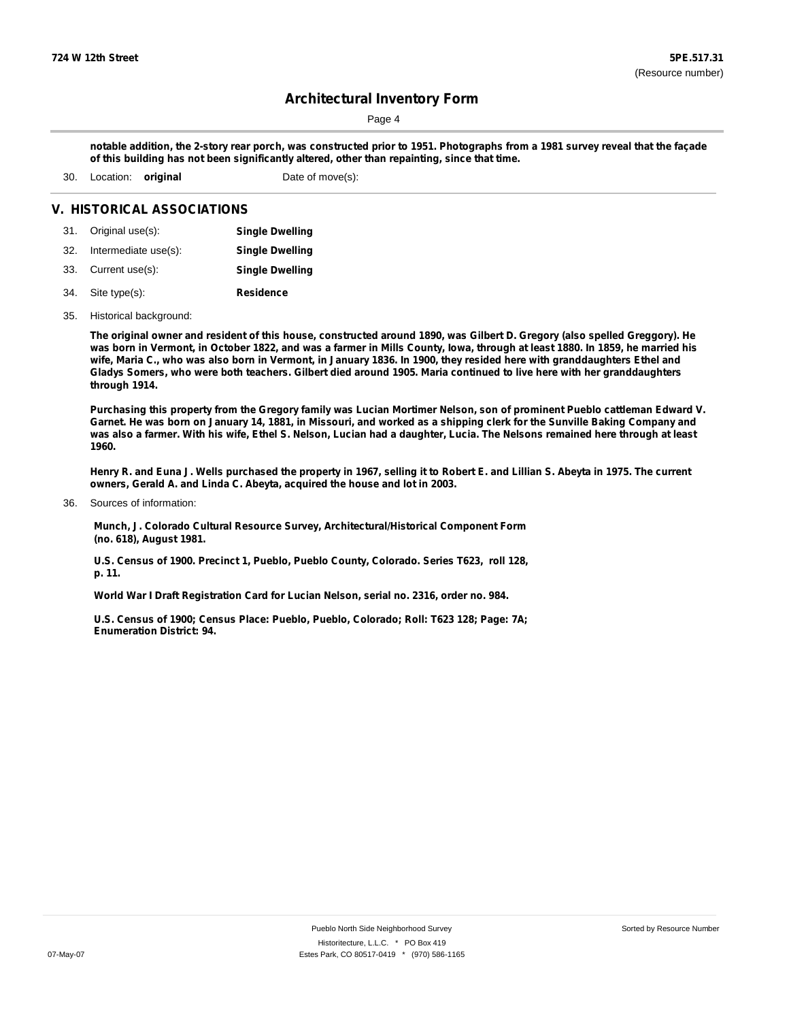Page 4

notable addition, the 2-story rear porch, was constructed prior to 1951. Photographs from a 1981 survey reveal that the façade **of this building has not been significantly altered, other than repainting, since that time.**

30. Location: **original** Date of move(s):

### **V. HISTORICAL ASSOCIATIONS**

| 31. Original use(s):     | <b>Single Dwelling</b> |
|--------------------------|------------------------|
| 32. Intermediate use(s): | <b>Single Dwelling</b> |
| 33. Current use(s):      | <b>Single Dwelling</b> |
| 34. Site type(s):        | <b>Residence</b>       |

35. Historical background:

The original owner and resident of this house, constructed around 1890, was Gilbert D. Gregory (also spelled Greggory). He was born in Vermont, in October 1822, and was a farmer in Mills County, Iowa, through at least 1880. In 1859, he married his wife, Maria C., who was also born in Vermont, in January 1836. In 1900, they resided here with granddaughters Ethel and Gladys Somers, who were both teachers. Gilbert died around 1905. Maria continued to live here with her granddaughters **through 1914.**

Purchasing this property from the Gregory family was Lucian Mortimer Nelson, son of prominent Pueblo cattleman Edward V. Garnet. He was born on January 14, 1881, in Missouri, and worked as a shipping clerk for the Sunville Baking Company and was also a farmer. With his wife, Ethel S. Nelson, Lucian had a daughter, Lucia. The Nelsons remained here through at least **1960.**

Henry R. and Euna J. Wells purchased the property in 1967, selling it to Robert E. and Lillian S. Abeyta in 1975. The current **owners, Gerald A. and Linda C. Abeyta, acquired the house and lot in 2003.**

Sources of information: 36.

> **Munch, J. Colorado Cultural Resource Survey, Architectural/Historical Component Form (no. 618), August 1981.**

> **U.S. Census of 1900. Precinct 1, Pueblo, Pueblo County, Colorado. Series T623, roll 128, p. 11.**

**World War I Draft Registration Card for Lucian Nelson, serial no. 2316, order no. 984.**

**U.S. Census of 1900; Census Place: Pueblo, Pueblo, Colorado; Roll: T623 128; Page: 7A; Enumeration District: 94.**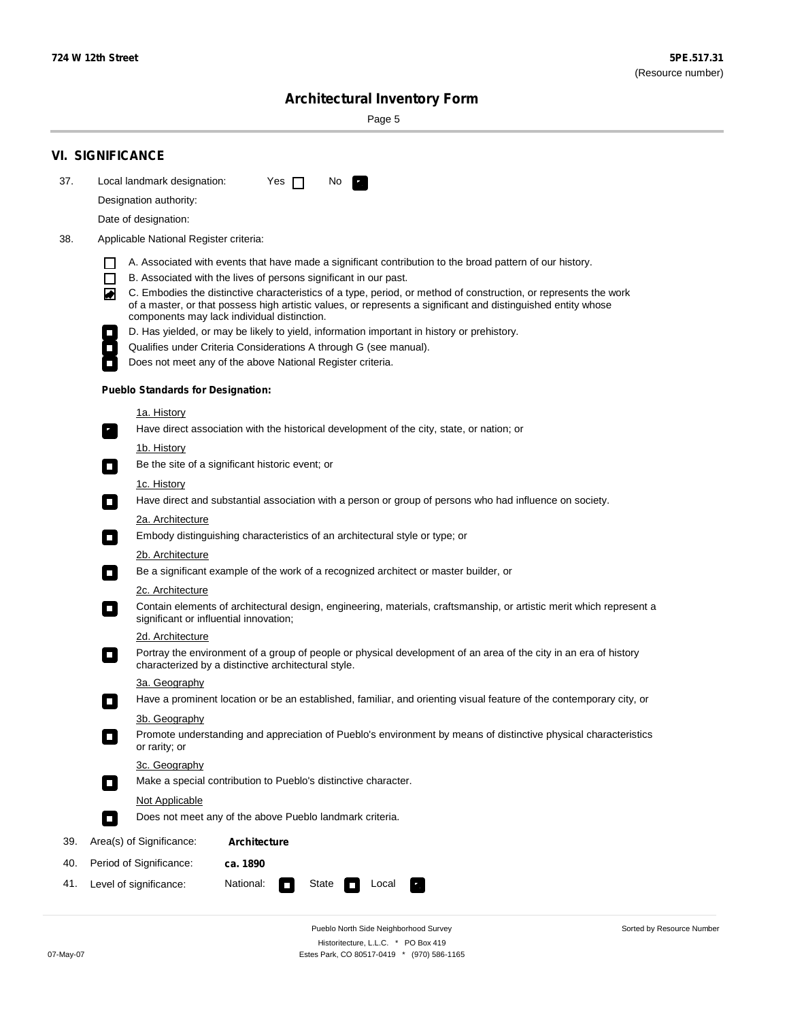Sorted by Resource Number

# **Architectural Inventory Form**

Page 5

|     | <b>VI. SIGNIFICANCE</b>                                                                                                                                                                                                                                                               |  |  |  |  |  |  |  |  |
|-----|---------------------------------------------------------------------------------------------------------------------------------------------------------------------------------------------------------------------------------------------------------------------------------------|--|--|--|--|--|--|--|--|
| 37. | Local landmark designation:<br>No<br>Yes $\Box$                                                                                                                                                                                                                                       |  |  |  |  |  |  |  |  |
|     | Designation authority:                                                                                                                                                                                                                                                                |  |  |  |  |  |  |  |  |
|     | Date of designation:                                                                                                                                                                                                                                                                  |  |  |  |  |  |  |  |  |
| 38. | Applicable National Register criteria:                                                                                                                                                                                                                                                |  |  |  |  |  |  |  |  |
|     | A. Associated with events that have made a significant contribution to the broad pattern of our history.                                                                                                                                                                              |  |  |  |  |  |  |  |  |
|     | B. Associated with the lives of persons significant in our past.<br>$\Box$                                                                                                                                                                                                            |  |  |  |  |  |  |  |  |
|     | C. Embodies the distinctive characteristics of a type, period, or method of construction, or represents the work<br>◙<br>of a master, or that possess high artistic values, or represents a significant and distinguished entity whose<br>components may lack individual distinction. |  |  |  |  |  |  |  |  |
|     | D. Has yielded, or may be likely to yield, information important in history or prehistory.                                                                                                                                                                                            |  |  |  |  |  |  |  |  |
|     | Qualifies under Criteria Considerations A through G (see manual).                                                                                                                                                                                                                     |  |  |  |  |  |  |  |  |
|     | Does not meet any of the above National Register criteria.                                                                                                                                                                                                                            |  |  |  |  |  |  |  |  |
|     | <b>Pueblo Standards for Designation:</b>                                                                                                                                                                                                                                              |  |  |  |  |  |  |  |  |
|     | <u>1a. History</u>                                                                                                                                                                                                                                                                    |  |  |  |  |  |  |  |  |
|     | Have direct association with the historical development of the city, state, or nation; or<br>$\overline{\phantom{a}}$ .                                                                                                                                                               |  |  |  |  |  |  |  |  |
|     | <u>1b. History</u>                                                                                                                                                                                                                                                                    |  |  |  |  |  |  |  |  |
|     | Be the site of a significant historic event; or<br>$\Box$                                                                                                                                                                                                                             |  |  |  |  |  |  |  |  |
|     | 1c. History<br>Have direct and substantial association with a person or group of persons who had influence on society.<br>$\overline{\phantom{a}}$                                                                                                                                    |  |  |  |  |  |  |  |  |
|     | 2a. Architecture                                                                                                                                                                                                                                                                      |  |  |  |  |  |  |  |  |
|     | Embody distinguishing characteristics of an architectural style or type; or<br>$\Box$                                                                                                                                                                                                 |  |  |  |  |  |  |  |  |
|     | 2b. Architecture                                                                                                                                                                                                                                                                      |  |  |  |  |  |  |  |  |
|     | Be a significant example of the work of a recognized architect or master builder, or<br>$\Box$                                                                                                                                                                                        |  |  |  |  |  |  |  |  |
|     | 2c. Architecture                                                                                                                                                                                                                                                                      |  |  |  |  |  |  |  |  |
|     | Contain elements of architectural design, engineering, materials, craftsmanship, or artistic merit which represent a<br>О<br>significant or influential innovation;                                                                                                                   |  |  |  |  |  |  |  |  |
|     | 2d. Architecture                                                                                                                                                                                                                                                                      |  |  |  |  |  |  |  |  |
|     | Portray the environment of a group of people or physical development of an area of the city in an era of history<br>$\Box$<br>characterized by a distinctive architectural style.                                                                                                     |  |  |  |  |  |  |  |  |
|     | 3a. Geography                                                                                                                                                                                                                                                                         |  |  |  |  |  |  |  |  |
|     | Have a prominent location or be an established, familiar, and orienting visual feature of the contemporary city, or<br>п                                                                                                                                                              |  |  |  |  |  |  |  |  |
|     | 3b. Geography                                                                                                                                                                                                                                                                         |  |  |  |  |  |  |  |  |
|     | Promote understanding and appreciation of Pueblo's environment by means of distinctive physical characteristics<br>or rarity; or                                                                                                                                                      |  |  |  |  |  |  |  |  |
|     | 3c. Geography                                                                                                                                                                                                                                                                         |  |  |  |  |  |  |  |  |
|     | Make a special contribution to Pueblo's distinctive character.<br>О                                                                                                                                                                                                                   |  |  |  |  |  |  |  |  |
|     | Not Applicable                                                                                                                                                                                                                                                                        |  |  |  |  |  |  |  |  |
|     | Does not meet any of the above Pueblo landmark criteria.<br>$\overline{\phantom{a}}$                                                                                                                                                                                                  |  |  |  |  |  |  |  |  |
| 39. | Area(s) of Significance:<br>Architecture                                                                                                                                                                                                                                              |  |  |  |  |  |  |  |  |
| 40. | Period of Significance:<br>ca. 1890                                                                                                                                                                                                                                                   |  |  |  |  |  |  |  |  |
| 41. | National:<br>Level of significance:<br>State<br>Local<br><b>The Second</b><br>У.,                                                                                                                                                                                                     |  |  |  |  |  |  |  |  |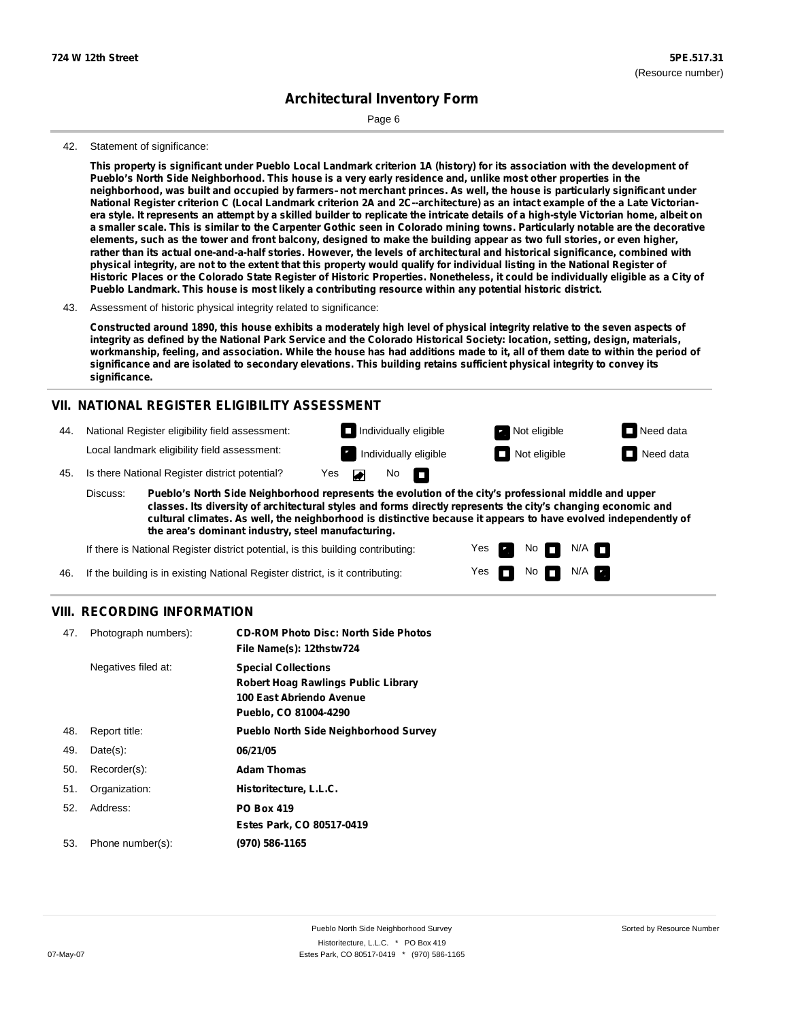Page 6

### 42. Statement of significance:

This property is significant under Pueblo Local Landmark criterion 1A (history) for its association with the development of Pueblo's North Side Neighborhood. This house is a very early residence and, unlike most other properties in the neighborhood, was built and occupied by farmers-not merchant princes. As well, the house is particularly significant under National Register criterion C (Local Landmark criterion 2A and 2C--architecture) as an intact example of the a Late Victorianera style. It represents an attempt by a skilled builder to replicate the intricate details of a high-style Victorian home, albeit on a smaller scale. This is similar to the Carpenter Gothic seen in Colorado mining towns. Particularly notable are the decorative elements, such as the tower and front balcony, designed to make the building appear as two full stories, or even higher, rather than its actual one-and-a-half stories. However, the levels of architectural and historical significance, combined with physical integrity, are not to the extent that this property would qualify for individual listing in the National Register of Historic Places or the Colorado State Register of Historic Properties. Nonetheless, it could be individually eligible as a City of **Pueblo Landmark. This house is most likely a contributing resource within any potential historic district.**

### 43. Assessment of historic physical integrity related to significance:

Constructed around 1890, this house exhibits a moderately high level of physical integrity relative to the seven aspects of integrity as defined by the National Park Service and the Colorado Historical Society: location, setting, design, materials, workmanship, feeling, and association. While the house has had additions made to it, all of them date to within the period of significance and are isolated to secondary elevations. This building retains sufficient physical integrity to convey its **significance.**

### **VII. NATIONAL REGISTER ELIGIBILITY ASSESSMENT**

**Individually eligible Not eligible** Not eligible **Need data** 44. National Register eligibility field assessment: Local landmark eligibility field assessment: Individually eligible  $\Box$  Not eligible  $\Box$  Need data  $\blacksquare$ No 45. Is there National Register district potential? Yes **In** 

**Pueblo's North Side Neighborhood represents the evolution of the city's professional middle and upper classes. Its diversity of architectural styles and forms directly represents the city's changing economic and cultural climates. As well, the neighborhood is distinctive because it appears to have evolved independently of the area's dominant industry, steel manufacturing.** Discuss:

> Yes Yes

No

 $N$ o  $N/A$ 

 $N/A$   $\Box$ 

If there is National Register district potential, is this building contributing:

46. If the building is in existing National Register district, is it contributing:

### **VIII. RECORDING INFORMATION**

| 47. | Photograph numbers): | <b>CD-ROM Photo Disc: North Side Photos</b><br>File Name(s): 12thstw724                                                |
|-----|----------------------|------------------------------------------------------------------------------------------------------------------------|
|     | Negatives filed at:  | <b>Special Collections</b><br>Robert Hoag Rawlings Public Library<br>100 East Abriendo Avenue<br>Pueblo, CO 81004-4290 |
| 48. | Report title:        | <b>Pueblo North Side Neighborhood Survey</b>                                                                           |
| 49. | $Date(s)$ :          | 06/21/05                                                                                                               |
| 50. | Recorder(s):         | <b>Adam Thomas</b>                                                                                                     |
| 51. | Organization:        | Historitecture, L.L.C.                                                                                                 |
| 52. | Address:             | <b>PO Box 419</b>                                                                                                      |
|     |                      | Estes Park, CO 80517-0419                                                                                              |
| 53. | Phone number(s):     | (970) 586-1165                                                                                                         |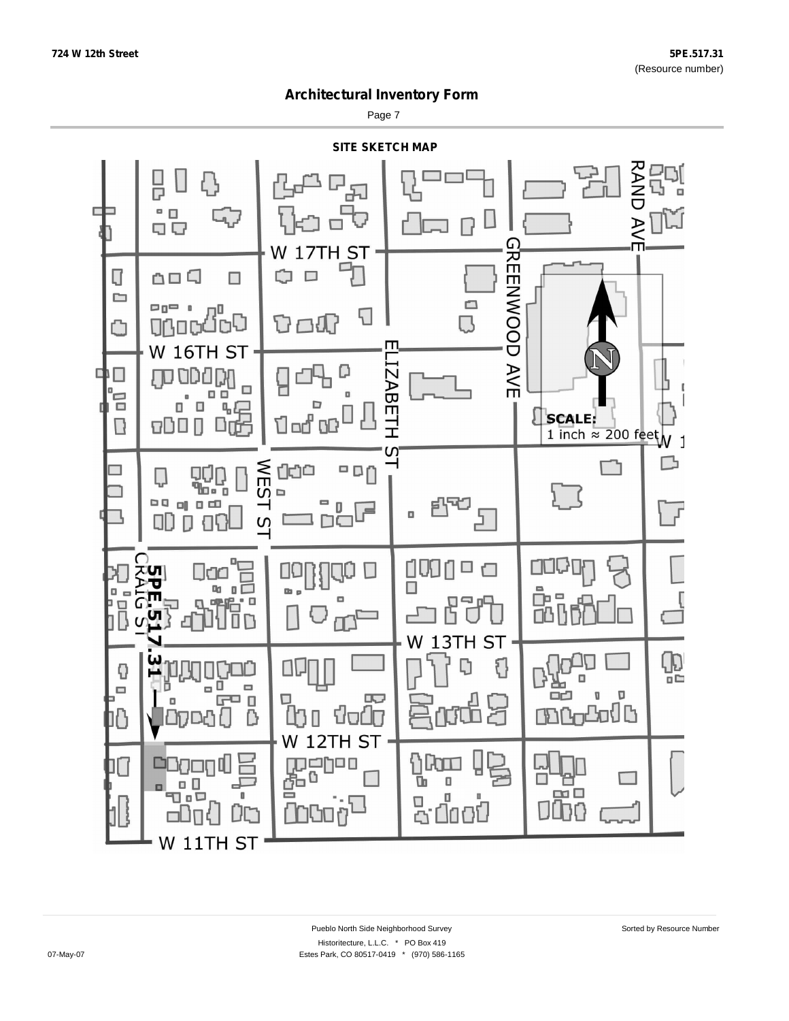Page 7